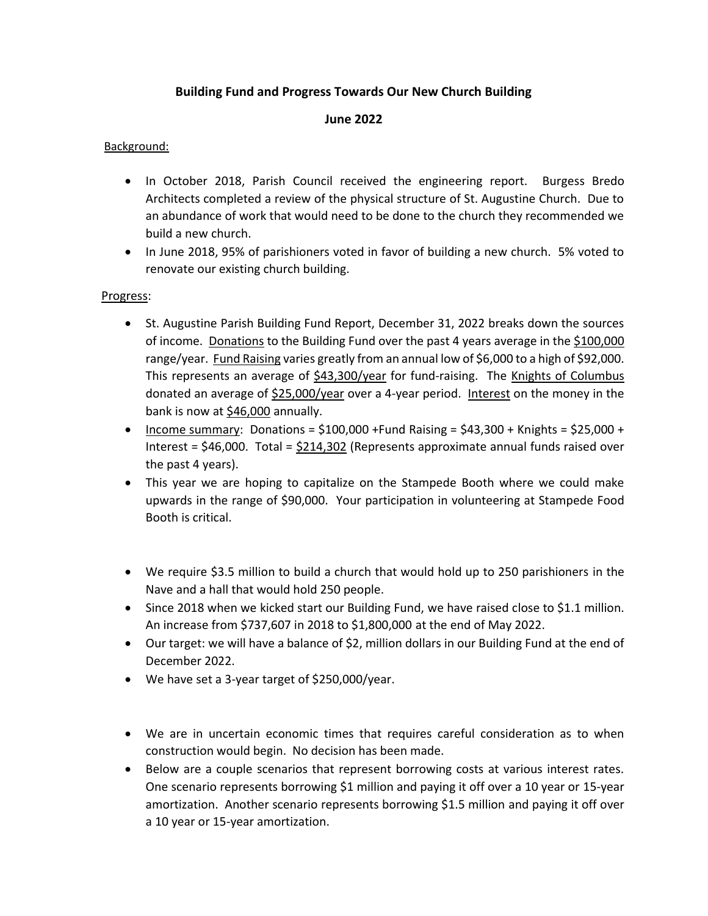# **Building Fund and Progress Towards Our New Church Building**

#### **June 2022**

## Background:

- In October 2018, Parish Council received the engineering report. Burgess Bredo Architects completed a review of the physical structure of St. Augustine Church. Due to an abundance of work that would need to be done to the church they recommended we build a new church.
- In June 2018, 95% of parishioners voted in favor of building a new church. 5% voted to renovate our existing church building.

### Progress:

- St. Augustine Parish Building Fund Report, December 31, 2022 breaks down the sources of income. Donations to the Building Fund over the past 4 years average in the \$100,000 range/year. Fund Raising varies greatly from an annual low of \$6,000 to a high of \$92,000. This represents an average of \$43,300/year for fund-raising. The Knights of Columbus donated an average of \$25,000/year over a 4-year period. Interest on the money in the bank is now at  $$46,000$  annually.
- Income summary: Donations =  $$100,000$  +Fund Raising =  $$43,300$  + Knights =  $$25,000$  + Interest = \$46,000. Total = \$214,302 (Represents approximate annual funds raised over the past 4 years).
- This year we are hoping to capitalize on the Stampede Booth where we could make upwards in the range of \$90,000. Your participation in volunteering at Stampede Food Booth is critical.
- We require \$3.5 million to build a church that would hold up to 250 parishioners in the Nave and a hall that would hold 250 people.
- Since 2018 when we kicked start our Building Fund, we have raised close to \$1.1 million. An increase from \$737,607 in 2018 to \$1,800,000 at the end of May 2022.
- Our target: we will have a balance of \$2, million dollars in our Building Fund at the end of December 2022.
- We have set a 3-year target of \$250,000/year.
- We are in uncertain economic times that requires careful consideration as to when construction would begin. No decision has been made.
- Below are a couple scenarios that represent borrowing costs at various interest rates. One scenario represents borrowing \$1 million and paying it off over a 10 year or 15-year amortization. Another scenario represents borrowing \$1.5 million and paying it off over a 10 year or 15-year amortization.